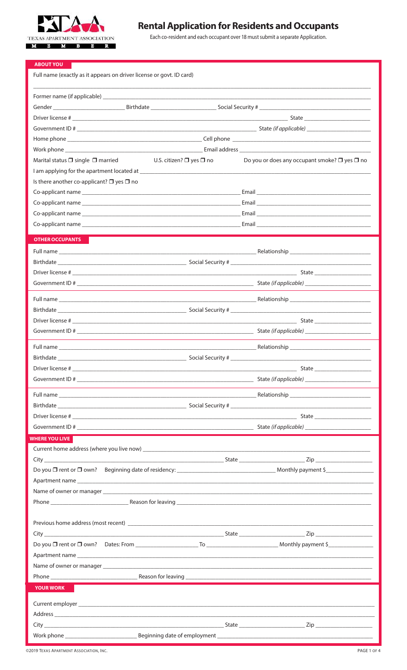

# **Rental Application for Residents and Occupants**

Each co-resident and each occupant over 18 must submit a separate Application.

| Full name (exactly as it appears on driver license or govt. ID card)                                                                                     |  |
|----------------------------------------------------------------------------------------------------------------------------------------------------------|--|
|                                                                                                                                                          |  |
|                                                                                                                                                          |  |
|                                                                                                                                                          |  |
|                                                                                                                                                          |  |
|                                                                                                                                                          |  |
|                                                                                                                                                          |  |
| Do you or does any occupant smoke? $\square$ yes $\square$ no<br>U.S. citizen? $\square$ yes $\square$ no<br>Marital status $\Box$ single $\Box$ married |  |
|                                                                                                                                                          |  |
| Is there another co-applicant? $\Box$ yes $\Box$ no                                                                                                      |  |
|                                                                                                                                                          |  |
|                                                                                                                                                          |  |
|                                                                                                                                                          |  |
|                                                                                                                                                          |  |
| <b>OTHER OCCUPANTS</b>                                                                                                                                   |  |
|                                                                                                                                                          |  |
|                                                                                                                                                          |  |
|                                                                                                                                                          |  |
|                                                                                                                                                          |  |
|                                                                                                                                                          |  |
|                                                                                                                                                          |  |
|                                                                                                                                                          |  |
|                                                                                                                                                          |  |
|                                                                                                                                                          |  |
|                                                                                                                                                          |  |
|                                                                                                                                                          |  |
|                                                                                                                                                          |  |
|                                                                                                                                                          |  |
|                                                                                                                                                          |  |
|                                                                                                                                                          |  |
|                                                                                                                                                          |  |
| <b>WHERE YOU LIVE</b>                                                                                                                                    |  |
|                                                                                                                                                          |  |
|                                                                                                                                                          |  |
|                                                                                                                                                          |  |
|                                                                                                                                                          |  |
|                                                                                                                                                          |  |
|                                                                                                                                                          |  |
|                                                                                                                                                          |  |
|                                                                                                                                                          |  |
|                                                                                                                                                          |  |
|                                                                                                                                                          |  |
|                                                                                                                                                          |  |
|                                                                                                                                                          |  |
| <b>YOUR WORK</b>                                                                                                                                         |  |
|                                                                                                                                                          |  |
|                                                                                                                                                          |  |
|                                                                                                                                                          |  |
|                                                                                                                                                          |  |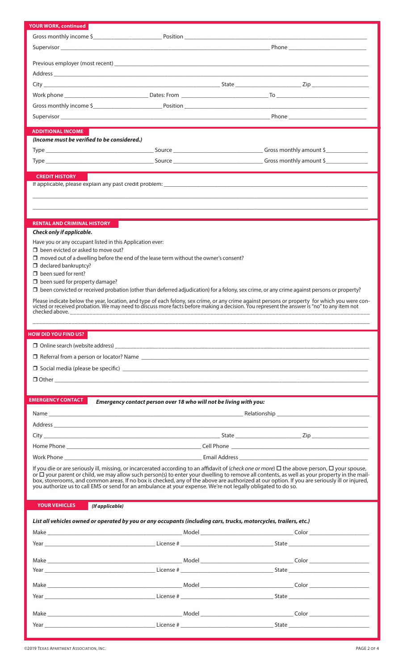|                                                                     | Supervisor Phone Phone Phone Phone Phone Phone Phone Phone Phone Phone Phone Phone Phone Phone Phone Phone Phone Phone Phone Phone Phone Phone Phone Phone Phone Phone Phone Phone Phone Phone Phone Phone Phone Phone Phone P                                                                   |       |  |
|---------------------------------------------------------------------|--------------------------------------------------------------------------------------------------------------------------------------------------------------------------------------------------------------------------------------------------------------------------------------------------|-------|--|
|                                                                     |                                                                                                                                                                                                                                                                                                  |       |  |
|                                                                     |                                                                                                                                                                                                                                                                                                  |       |  |
|                                                                     |                                                                                                                                                                                                                                                                                                  |       |  |
|                                                                     |                                                                                                                                                                                                                                                                                                  |       |  |
|                                                                     |                                                                                                                                                                                                                                                                                                  |       |  |
|                                                                     |                                                                                                                                                                                                                                                                                                  |       |  |
|                                                                     |                                                                                                                                                                                                                                                                                                  |       |  |
| <b>ADDITIONAL INCOME</b>                                            |                                                                                                                                                                                                                                                                                                  |       |  |
| (Income must be verified to be considered.)                         |                                                                                                                                                                                                                                                                                                  |       |  |
|                                                                     |                                                                                                                                                                                                                                                                                                  |       |  |
|                                                                     |                                                                                                                                                                                                                                                                                                  |       |  |
|                                                                     |                                                                                                                                                                                                                                                                                                  |       |  |
| <b>CREDIT HISTORY</b>                                               |                                                                                                                                                                                                                                                                                                  |       |  |
|                                                                     |                                                                                                                                                                                                                                                                                                  |       |  |
|                                                                     |                                                                                                                                                                                                                                                                                                  |       |  |
|                                                                     |                                                                                                                                                                                                                                                                                                  |       |  |
| <b>RENTAL AND CRIMINAL HISTORY</b>                                  |                                                                                                                                                                                                                                                                                                  |       |  |
| Check only if applicable.                                           |                                                                                                                                                                                                                                                                                                  |       |  |
| Have you or any occupant listed in this Application ever:           |                                                                                                                                                                                                                                                                                                  |       |  |
| $\Box$ been evicted or asked to move out?                           |                                                                                                                                                                                                                                                                                                  |       |  |
|                                                                     | $\Box$ moved out of a dwelling before the end of the lease term without the owner's consent?                                                                                                                                                                                                     |       |  |
| $\Box$ declared bankruptcy?                                         |                                                                                                                                                                                                                                                                                                  |       |  |
| $\Box$ been sued for rent?<br>$\Box$ been sued for property damage? |                                                                                                                                                                                                                                                                                                  |       |  |
|                                                                     | $\Box$ been convicted or received probation (other than deferred adjudication) for a felony, sex crime, or any crime against persons or property?                                                                                                                                                |       |  |
|                                                                     |                                                                                                                                                                                                                                                                                                  |       |  |
|                                                                     | Please indicate below the year, location, and type of each felony, sex crime, or any crime against persons or property for which you were convicted or received probation. We may need to discuss more facts before making a d                                                                   |       |  |
|                                                                     |                                                                                                                                                                                                                                                                                                  |       |  |
|                                                                     |                                                                                                                                                                                                                                                                                                  |       |  |
|                                                                     |                                                                                                                                                                                                                                                                                                  |       |  |
| <b>HOW DID YOU FIND US?</b>                                         |                                                                                                                                                                                                                                                                                                  |       |  |
|                                                                     |                                                                                                                                                                                                                                                                                                  |       |  |
|                                                                     |                                                                                                                                                                                                                                                                                                  |       |  |
|                                                                     |                                                                                                                                                                                                                                                                                                  |       |  |
|                                                                     |                                                                                                                                                                                                                                                                                                  |       |  |
|                                                                     |                                                                                                                                                                                                                                                                                                  |       |  |
| <b>EMERGENCY CONTACT</b>                                            | Emergency contact person over 18 who will not be living with you:                                                                                                                                                                                                                                |       |  |
|                                                                     |                                                                                                                                                                                                                                                                                                  |       |  |
|                                                                     |                                                                                                                                                                                                                                                                                                  |       |  |
|                                                                     |                                                                                                                                                                                                                                                                                                  |       |  |
|                                                                     |                                                                                                                                                                                                                                                                                                  |       |  |
|                                                                     |                                                                                                                                                                                                                                                                                                  |       |  |
|                                                                     |                                                                                                                                                                                                                                                                                                  |       |  |
|                                                                     | If you die or are seriously ill, missing, or incarcerated according to an affidavit of (check one or more) $\Box$ the above person, $\Box$ your spouse,                                                                                                                                          |       |  |
|                                                                     | or $\Box$ your parent or child, we may allow such person(s) to enter your dwelling to remove all contents, as well as your property in the mail-<br>box, storerooms, and common areas. If no box is checked, any of the above are authorized at our option. If you are seriously ill or injured, |       |  |
|                                                                     | you authorize us to call EMS or send for an ambulance at your expense. We're not legally obligated to do so.                                                                                                                                                                                     |       |  |
|                                                                     |                                                                                                                                                                                                                                                                                                  |       |  |
| <b>YOUR VEHICLES</b>                                                | (If applicable)                                                                                                                                                                                                                                                                                  |       |  |
|                                                                     | List all vehicles owned or operated by you or any occupants (including cars, trucks, motorcycles, trailers, etc.)                                                                                                                                                                                |       |  |
|                                                                     |                                                                                                                                                                                                                                                                                                  |       |  |
|                                                                     |                                                                                                                                                                                                                                                                                                  |       |  |
|                                                                     |                                                                                                                                                                                                                                                                                                  |       |  |
|                                                                     |                                                                                                                                                                                                                                                                                                  |       |  |
|                                                                     | Year State State State State State State State State State State State State State State State State State State State State State State State State State State State State State State State State State State State State S                                                                   |       |  |
|                                                                     |                                                                                                                                                                                                                                                                                                  |       |  |
|                                                                     |                                                                                                                                                                                                                                                                                                  |       |  |
|                                                                     |                                                                                                                                                                                                                                                                                                  |       |  |
|                                                                     |                                                                                                                                                                                                                                                                                                  |       |  |
| Year                                                                |                                                                                                                                                                                                                                                                                                  | State |  |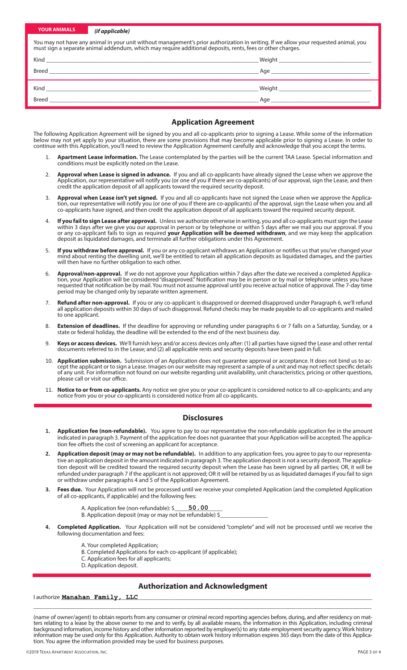| <b>YOUR ANIMALS</b>                                                                                                                                                                                                                                | (if applicable)                                             |  |  |  |
|----------------------------------------------------------------------------------------------------------------------------------------------------------------------------------------------------------------------------------------------------|-------------------------------------------------------------|--|--|--|
| You may not have any animal in your unit without management's prior authorization in writing. If we allow your requested animal, you<br>must sign a separate animal addendum, which may require additional deposits, rents, fees or other charges. |                                                             |  |  |  |
|                                                                                                                                                                                                                                                    |                                                             |  |  |  |
|                                                                                                                                                                                                                                                    |                                                             |  |  |  |
|                                                                                                                                                                                                                                                    | Kind <b>Kind Kind Kind Kind</b>                             |  |  |  |
| Breed                                                                                                                                                                                                                                              | <u> 1989 - Johann Stein, Amerikaansk politiker (* 1989)</u> |  |  |  |

#### **Application Agreement**

The following Application Agreement will be signed by you and all co-applicants prior to signing a Lease. While some of the information below may not yet apply to your situation, there are some provisions that may become applicable prior to signing a Lease. In order to continue with this Application, you'll need to review the Application Agreement carefully and acknowledge that you accept the terms.

- 1. **Apartment Lease information.** The Lease contemplated by the parties will be the current TAA Lease. Special information and conditions must be explicitly noted on the Lease.
- 2. **Approval when Lease is signed in advance.** If you and all co-applicants have already signed the Lease when we approve the Application, our representative will notify you (or one of you if there are co-applicants) of our approval, sign the Lease, and then credit the application deposit of all applicants toward the required security deposit.
- 3. **Approval when Lease isn't yet signed.** If you and all co-applicants have not signed the Lease when we approve the Application, our representative will notify you (or one of you if there are co-applicants) of the approval, sign the Lease when you and all co-applicants have signed, and then credit the application deposit of all applicants toward the required security deposit.
- 4. **If you fail to sign Lease after approval.** Unless we authorize otherwise in writing, you and all co-applicants must sign the Lease within 3 days after we give you our approval in person or by telephone or within 5 days after we mail you our approval. If you or any co-applicant fails to sign as required **your Application will be deemed withdrawn**, and we may keep the application deposit as liquidated damages, and terminate all further obligations under this Agreement.
- 5. **If you withdraw before approval.** If you or any co-applicant withdraws an Application or notifies us that you've changed your mind about renting the dwelling unit, we'll be entitled to retain all application deposits as liquidated damages, and the parties will then have no further obligation to each other.
- 6. **Approval/non-approval.** If we do not approve your Application within 7 days after the date we received a completed Application, your Application will be considered "disapproved." Notification may be in person or by mail or telephone unless you have requested that notification be by mail. You must not assume approval until you receive actual notice of approval. The 7-day time period may be changed only by separate written agreement.
- 7. **Refund after non-approval.** If you or any co-applicant is disapproved or deemed disapproved under Paragraph 6, we'll refund all application deposits within 30 days of such disapproval. Refund checks may be made payable to all co-applicants and mailed to one applicant.
- 8. **Extension of deadlines.** If the deadline for approving or refunding under paragraphs 6 or 7 falls on a Saturday, Sunday, or a state or federal holiday, the deadline will be extended to the end of the next business day.
- Keys or access devices. We'll furnish keys and/or access devices only after: (1) all parties have signed the Lease and other rental documents referred to in the Lease; and (2) all applicable rents and security deposits have been paid in full.
- 10. **Application submission.** Submission of an Application does not guarantee approval or acceptance. It does not bind us to accept the applicant or to sign a Lease. Images on our website may represent a sample of a unit and may not reflect specific details of any unit. For information not found on our website regarding unit availability, unit characteristics, pricing or other questions, please call or visit our office.
- 11. **Notice to or from co-applicants.** Any notice we give you or your co-applicant is considered notice to all co-applicants; and any notice from you or your co-applicants is considered notice from all co-applicants.

#### **Disclosures**

- **1. Application fee (non-refundable).** You agree to pay to our representative the non-refundable application fee in the amount indicated in paragraph 3. Payment of the application fee does not guarantee that your Application will be accepted. The application fee offsets the cost of screening an applicant for acceptance.
- **2. Application deposit (may or may not be refundable).** In addition to any application fees, you agree to pay to our representative an application deposit in the amount indicated in paragraph 3. The application deposit is not a security deposit. The application deposit will be credited toward the required security deposit when the Lease has been signed by all parties; OR, it will be refunded under paragraph 7 if the applicant is not approved; OR it will be retained by us as liquidated damages if you fail to sign or withdraw under paragraphs 4 and 5 of the Application Agreement.
- **3. Fees due.** Your Application will not be processed until we receive your completed Application (and the completed Application of all co-applicants, if applicable) and the following fees:
	- A. Application fee (non-refundable): \$\_ **50.00**
	- B. Application deposit (may or may not be refundable) \$\_
- **4. Completed Application.** Your Application will not be considered "complete" and will not be processed until we receive the following documentation and fees:
	- A. Your completed Application;
	- B. Completed Applications for each co-applicant (if applicable);
	- C. Application fees for all applicants;
	- D. Application deposit.

#### **Authorization and Acknowledgment**

\_\_\_\_\_\_\_\_\_\_\_\_\_\_\_\_\_\_\_\_\_\_\_\_\_\_\_\_\_\_\_\_\_\_\_\_\_\_\_\_\_\_\_\_\_\_\_\_\_\_\_\_\_\_\_\_\_\_\_\_\_\_\_\_\_\_\_\_\_\_\_\_\_\_\_\_\_\_\_\_\_\_\_\_\_\_\_\_\_\_\_\_\_\_\_\_\_\_\_\_\_\_\_\_\_\_\_\_\_\_\_\_\_

I authorize \_\_\_\_\_\_\_\_\_\_\_\_\_\_\_\_\_\_\_\_\_\_\_\_\_\_\_\_\_\_\_\_\_\_\_\_\_\_\_\_\_\_\_\_\_\_\_\_\_\_\_\_\_\_\_\_\_\_\_\_\_\_\_\_\_\_\_\_\_\_\_\_\_\_\_\_\_\_\_\_\_\_\_\_\_\_\_\_\_\_\_\_\_\_\_\_\_\_\_\_\_\_\_\_ **Manahan Family, LLC**

(name of owner/agent) to obtain reports from any consumer or criminal record reporting agencies before, during, and after residency on mat-<br>ters relating to a lease by the above owner to me and to verify, by all available background information, income history and other information reported by employer(s) to any state employment security agency. Work history information may be used only for this Application. Authority to obtain work history information expires 365 days from the date of this Application. You agree the information provided may be used for business purposes.